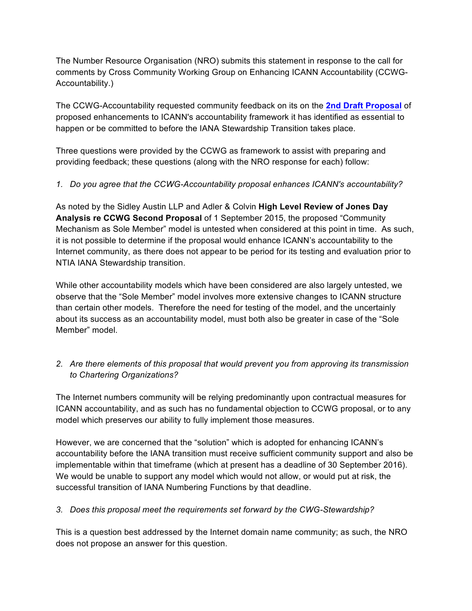The Number Resource Organisation (NRO) submits this statement in response to the call for comments by Cross Community Working Group on Enhancing ICANN Accountability (CCWG-Accountability.)

The CCWG-Accountability requested community feedback on its on the **2nd Draft Proposal** of proposed enhancements to ICANN's accountability framework it has identified as essential to happen or be committed to before the IANA Stewardship Transition takes place.

Three questions were provided by the CCWG as framework to assist with preparing and providing feedback; these questions (along with the NRO response for each) follow:

## *1. Do you agree that the CCWG-Accountability proposal enhances ICANN's accountability?*

As noted by the Sidley Austin LLP and Adler & Colvin **High Level Review of Jones Day Analysis re CCWG Second Proposal** of 1 September 2015, the proposed "Community Mechanism as Sole Member" model is untested when considered at this point in time. As such, it is not possible to determine if the proposal would enhance ICANN's accountability to the Internet community, as there does not appear to be period for its testing and evaluation prior to NTIA IANA Stewardship transition.

While other accountability models which have been considered are also largely untested, we observe that the "Sole Member" model involves more extensive changes to ICANN structure than certain other models. Therefore the need for testing of the model, and the uncertainly about its success as an accountability model, must both also be greater in case of the "Sole Member" model.

## *2. Are there elements of this proposal that would prevent you from approving its transmission to Chartering Organizations?*

The Internet numbers community will be relying predominantly upon contractual measures for ICANN accountability, and as such has no fundamental objection to CCWG proposal, or to any model which preserves our ability to fully implement those measures.

However, we are concerned that the "solution" which is adopted for enhancing ICANN's accountability before the IANA transition must receive sufficient community support and also be implementable within that timeframe (which at present has a deadline of 30 September 2016). We would be unable to support any model which would not allow, or would put at risk, the successful transition of IANA Numbering Functions by that deadline.

## *3. Does this proposal meet the requirements set forward by the CWG-Stewardship?*

This is a question best addressed by the Internet domain name community; as such, the NRO does not propose an answer for this question.